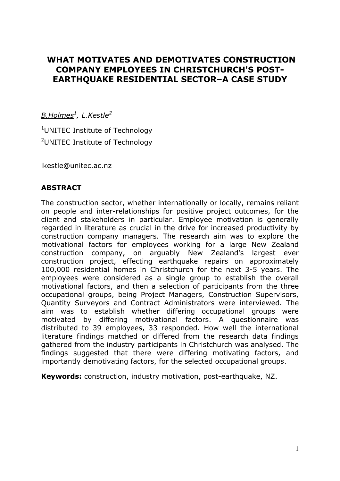## **WHAT MOTIVATES AND DEMOTIVATES CONSTRUCTION COMPANY EMPLOYEES IN CHRISTCHURCH'S POST-EARTHQUAKE RESIDENTIAL SECTOR–A CASE STUDY**

# *B.Holmes<sup>1</sup> , L.Kestle 2*

<sup>1</sup>UNITEC Institute of Technology <sup>2</sup>UNITEC Institute of Technology

lkestle@unitec.ac.nz

## **ABSTRACT**

The construction sector, whether internationally or locally, remains reliant on people and inter-relationships for positive project outcomes, for the client and stakeholders in particular. Employee motivation is generally regarded in literature as crucial in the drive for increased productivity by construction company managers. The research aim was to explore the motivational factors for employees working for a large New Zealand construction company, on arguably New Zealand's largest ever construction project, effecting earthquake repairs on approximately 100,000 residential homes in Christchurch for the next 3-5 years. The employees were considered as a single group to establish the overall motivational factors, and then a selection of participants from the three occupational groups, being Project Managers, Construction Supervisors, Quantity Surveyors and Contract Administrators were interviewed. The aim was to establish whether differing occupational groups were motivated by differing motivational factors. A questionnaire was distributed to 39 employees, 33 responded. How well the international literature findings matched or differed from the research data findings gathered from the industry participants in Christchurch was analysed. The findings suggested that there were differing motivating factors, and importantly demotivating factors, for the selected occupational groups.

**Keywords:** construction, industry motivation, post-earthquake, NZ.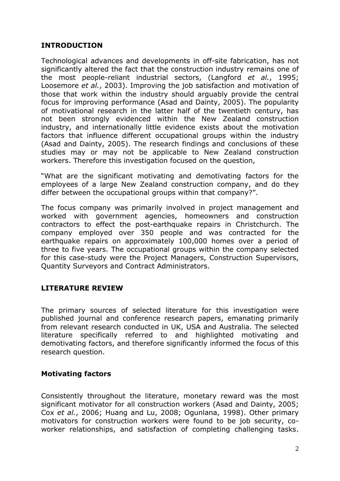#### **INTRODUCTION**

Technological advances and developments in off-site fabrication, has not significantly altered the fact that the construction industry remains one of the most people-reliant industrial sectors, [\(Langford](#page-8-0) *et al.*, 1995; [Loosemore](#page-8-1) *et al.*, 2003). Improving the job satisfaction and motivation of those that work within the industry should arguably provide the central focus for improving performance (Asad [and Dainty, 2005\)](#page-8-2). The popularity of motivational research in the latter half of the twentieth century, has not been strongly evidenced within the New Zealand construction industry, and internationally little evidence exists about the motivation factors that influence different occupational groups within the industry (Asad and Dainty, [2005\)](#page-8-2). The research findings and conclusions of these studies may or may not be applicable to New Zealand construction workers. Therefore this investigation focused on the question,

"What are the significant motivating and demotivating factors for the employees of a large New Zealand construction company, and do they differ between the occupational groups within that company?".

The focus company was primarily involved in project management and worked with government agencies, homeowners and construction contractors to effect the post-earthquake repairs in Christchurch. The company employed over 350 people and was contracted for the earthquake repairs on approximately 100,000 homes over a period of three to five years. The occupational groups within the company selected for this case-study were the Project Managers, Construction Supervisors, Quantity Surveyors and Contract Administrators.

#### **LITERATURE REVIEW**

The primary sources of selected literature for this investigation were published journal and conference research papers, emanating primarily from relevant research conducted in UK, USA and Australia. The selected literature specifically referred to and highlighted motivating and demotivating factors, and therefore significantly informed the focus of this research question.

#### **Motivating factors**

Consistently throughout the literature, monetary reward was the most significant motivator for all construction workers (Asad [and Dainty, 2005;](#page-8-2) Cox *et al.*[, 2006;](#page-8-3) Huang and Lu, 2008; [Ogunlana, 1998\)](#page-8-4). Other primary motivators for construction workers were found to be job security, coworker relationships, and satisfaction of completing challenging tasks.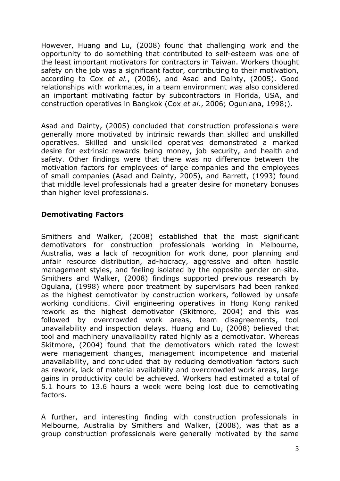However, Huang and Lu, (2008) found that challenging work and the opportunity to do something that contributed to self-esteem was one of the least important motivators for contractors in Taiwan. Workers thought safety on the job was a significant factor, contributing to their motivation, according to Cox *et al.*, (2006), and Asad and Dainty, (2005). Good relationships with workmates, in a team environment was also considered an important motivating factor by subcontractors in Florida, USA, and construction operatives in Bangkok (Cox *et al.*[, 2006;](#page-8-3) [Ogunlana, 1998;](#page-8-4)).

Asad and Dainty, (2005) concluded that construction professionals were generally more motivated by intrinsic rewards than skilled and unskilled operatives. Skilled and unskilled operatives demonstrated a marked desire for extrinsic rewards being money, job security, and health and safety. Other findings were that there was no difference between the motivation factors for employees of large companies and the employees of small companies (Asad [and Dainty, 2005\)](#page-8-2), and Barrett, (1993) found that middle level professionals had a greater desire for monetary bonuses than higher level professionals.

#### **Demotivating Factors**

Smithers and Walker, (2008) established that the most significant demotivators for construction professionals working in Melbourne, Australia, was a lack of recognition for work done, poor planning and unfair resource distribution, ad-hocracy, aggressive and often hostile management styles, and feeling isolated by the opposite gender on-site. Smithers and Walker, (2008) findings supported previous research by Ogulana, (1998) where poor treatment by supervisors had been ranked as the highest demotivator by construction workers, followed by unsafe working conditions. Civil engineering operatives in Hong Kong ranked rework as the highest demotivator [\(Skitmore, 2004\)](#page-8-5) and this was followed by overcrowded work areas, team disagreements, tool unavailability and inspection delays. Huang and Lu, (2008) believed that tool and machinery unavailability rated highly as a demotivator. Whereas Skitmore, (2004) found that the demotivators which rated the lowest were management changes, management incompetence and material unavailability, and concluded that by reducing demotivation factors such as rework, lack of material availability and overcrowded work areas, large gains in productivity could be achieved. Workers had estimated a total of 5.1 hours to 13.6 hours a week were being lost due to demotivating factors.

A further, and interesting finding with construction professionals in Melbourne, Australia by Smithers and Walker, (2008), was that as a group construction professionals were generally motivated by the same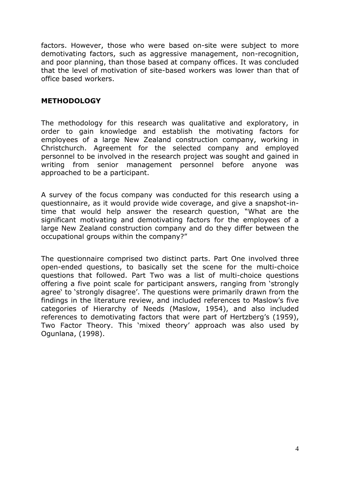factors. However, those who were based on-site were subject to more demotivating factors, such as aggressive management, non-recognition, and poor planning, than those based at company offices. It was concluded that the level of motivation of site-based workers was lower than that of office based workers.

#### **METHODOLOGY**

The methodology for this research was qualitative and exploratory, in order to gain knowledge and establish the motivating factors for employees of a large New Zealand construction company, working in Christchurch. Agreement for the selected company and employed personnel to be involved in the research project was sought and gained in writing from senior management personnel before anyone was approached to be a participant.

A survey of the focus company was conducted for this research using a questionnaire, as it would provide wide coverage, and give a snapshot-intime that would help answer the research question, "What are the significant motivating and demotivating factors for the employees of a large New Zealand construction company and do they differ between the occupational groups within the company?"

The questionnaire comprised two distinct parts. Part One involved three open-ended questions, to basically set the scene for the multi-choice questions that followed. Part Two was a list of multi-choice questions offering a five point scale for participant answers, ranging from 'strongly agree' to 'strongly disagree'. The questions were primarily drawn from the findings in the literature review, and included references to Maslow's five categories of Hierarchy of Needs [\(Maslow, 1954\)](#page-8-6), and also included references to demotivating factors that were part of Hertzberg's (1959), Two Factor Theory. This 'mixed theory' approach was also used by Ogunlana, (1998).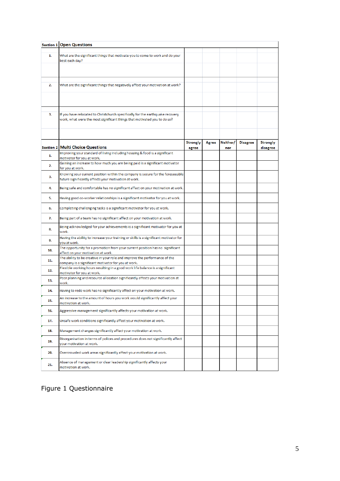|     | Section 1 Open Questions                                                                                                                                   |                 |       |          |                 |                 |
|-----|------------------------------------------------------------------------------------------------------------------------------------------------------------|-----------------|-------|----------|-----------------|-----------------|
|     |                                                                                                                                                            |                 |       |          |                 |                 |
| 1.  | What are the significant things that motivate you to come to work and do your<br>best each day?                                                            |                 |       |          |                 |                 |
|     |                                                                                                                                                            |                 |       |          |                 |                 |
| 2.  | What are the significant things that negatively affect your motivation at work?                                                                            |                 |       |          |                 |                 |
|     |                                                                                                                                                            |                 |       |          |                 |                 |
| 3.  | If you have relocated to Christchurch specifically for the earthquake recovery<br>work, what were the most significant things that motivated you to do so? |                 |       |          |                 |                 |
|     |                                                                                                                                                            | <b>Strongly</b> | Agree | Neither/ | <b>Disagree</b> | <b>Strongly</b> |
|     | <b>Section 2 Multi Choice Questions</b>                                                                                                                    | agree           |       | nor      |                 | disagree        |
| 1.  | Improving your standard of living including housing & food is a significant<br>motivator for you at work.                                                  |                 |       |          |                 |                 |
| 2.  | Gaining an increase to how much you are being paid is a significant motivator<br>for you at work.                                                          |                 |       |          |                 |                 |
| 3.  | Knowing your current position within the company is secure for the foreseeable<br>future significantly affects your motivation at work.                    |                 |       |          |                 |                 |
| 4.  | Being safe and comfortable has no significant affect on your motivation at work.                                                                           |                 |       |          |                 |                 |
| 5.  | Having good co-worker relationships is a significant motivator for you at work.                                                                            |                 |       |          |                 |                 |
| 6.  | Completing challenging tasks is a significant motivator for you at work.                                                                                   |                 |       |          |                 |                 |
| 7.  | Being part of a team has no significant affect on your motivation at work.                                                                                 |                 |       |          |                 |                 |
| 8.  | Being acknowledged for your achievements is a significant motivator for you at<br>work.                                                                    |                 |       |          |                 |                 |
| 9.  | Having the ability to increase your training or skills is a significant motivator for<br>you at work.                                                      |                 |       |          |                 |                 |
| 10. | The opportunity for a promotion from your current position has no significant<br>affect on your motivation at work.                                        |                 |       |          |                 |                 |
| 11. | The ability to be creative in your role and improve the performance of the<br>company is a significant motivator for you at work.                          |                 |       |          |                 |                 |
| 12. | Flexible working hours resulting in a good work life balance is a significant<br>motivator for you at work.                                                |                 |       |          |                 |                 |
| 13. | Poor planning and resource allocation significantly affects your motivation at<br>work.                                                                    |                 |       |          |                 |                 |
| 14. | Having to redo work has no significantly affect on your motivation at work.                                                                                |                 |       |          |                 |                 |
| 15. | An increase to the amount of hours you work would significantly affect your<br>motivation at work.                                                         |                 |       |          |                 |                 |
| 16. | Aggressive management significantly affects your motivation at work.                                                                                       |                 |       |          |                 |                 |
| 17. | Unsafe work conditions significantly affect your motivation at work.                                                                                       |                 |       |          |                 |                 |
| 18. | Management changes significantly affect your motivation at work.                                                                                           |                 |       |          |                 |                 |
| 19. | Disorganisation in terms of polices and procedures does not significantly affect<br>your motivation at work.                                               |                 |       |          |                 |                 |
| 20. | Overcrowded work areas significantly affect your motivation at work.                                                                                       |                 |       |          |                 |                 |
| 21. | Absence of management or clear leadership significantly affects your<br>motivation at work.                                                                |                 |       |          |                 |                 |

Figure 1 Questionnaire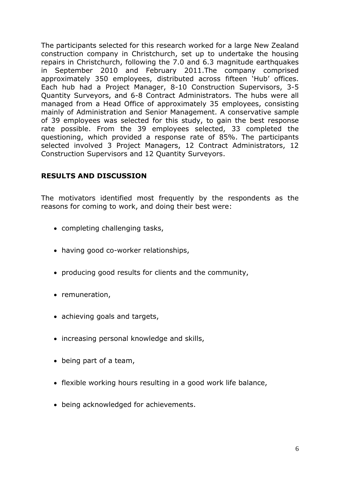The participants selected for this research worked for a large New Zealand construction company in Christchurch, set up to undertake the housing repairs in Christchurch, following the 7.0 and 6.3 magnitude earthquakes in September 2010 and February 2011.The company comprised approximately 350 employees, distributed across fifteen 'Hub' offices. Each hub had a Project Manager, 8-10 Construction Supervisors, 3-5 Quantity Surveyors, and 6-8 Contract Administrators. The hubs were all managed from a Head Office of approximately 35 employees, consisting mainly of Administration and Senior Management. A conservative sample of 39 employees was selected for this study, to gain the best response rate possible. From the 39 employees selected, 33 completed the questioning, which provided a response rate of 85%. The participants selected involved 3 Project Managers, 12 Contract Administrators, 12 Construction Supervisors and 12 Quantity Surveyors.

#### **RESULTS AND DISCUSSION**

The motivators identified most frequently by the respondents as the reasons for coming to work, and doing their best were:

- completing challenging tasks,
- having good co-worker relationships,
- producing good results for clients and the community,
- remuneration,
- achieving goals and targets,
- increasing personal knowledge and skills,
- being part of a team,
- flexible working hours resulting in a good work life balance,
- being acknowledged for achievements.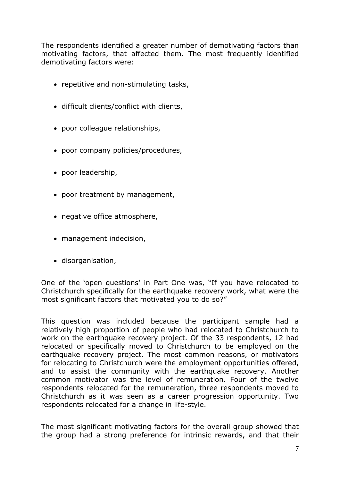The respondents identified a greater number of demotivating factors than motivating factors, that affected them. The most frequently identified demotivating factors were:

- repetitive and non-stimulating tasks,
- difficult clients/conflict with clients,
- poor colleague relationships,
- poor company policies/procedures,
- poor leadership,
- poor treatment by management,
- negative office atmosphere,
- management indecision,
- disorganisation,

One of the 'open questions' in Part One was, "If you have relocated to Christchurch specifically for the earthquake recovery work, what were the most significant factors that motivated you to do so?"

This question was included because the participant sample had a relatively high proportion of people who had relocated to Christchurch to work on the earthquake recovery project. Of the 33 respondents, 12 had relocated or specifically moved to Christchurch to be employed on the earthquake recovery project. The most common reasons, or motivators for relocating to Christchurch were the employment opportunities offered, and to assist the community with the earthquake recovery. Another common motivator was the level of remuneration. Four of the twelve respondents relocated for the remuneration, three respondents moved to Christchurch as it was seen as a career progression opportunity. Two respondents relocated for a change in life-style.

The most significant motivating factors for the overall group showed that the group had a strong preference for intrinsic rewards, and that their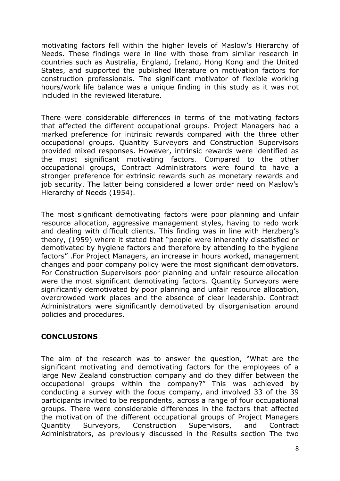motivating factors fell within the higher levels of Maslow's Hierarchy of Needs. These findings were in line with those from similar research in countries such as Australia, England, Ireland, Hong Kong and the United States, and supported the published literature on motivation factors for construction professionals. The significant motivator of flexible working hours/work life balance was a unique finding in this study as it was not included in the reviewed literature.

There were considerable differences in terms of the motivating factors that affected the different occupational groups. Project Managers had a marked preference for intrinsic rewards compared with the three other occupational groups. Quantity Surveyors and Construction Supervisors provided mixed responses. However, intrinsic rewards were identified as the most significant motivating factors. Compared to the other occupational groups, Contract Administrators were found to have a stronger preference for extrinsic rewards such as monetary rewards and job security. The latter being considered a lower order need on Maslow's Hierarchy of Needs (1954).

The most significant demotivating factors were poor planning and unfair resource allocation, aggressive management styles, having to redo work and dealing with difficult clients. This finding was in line with Herzberg's theory, (1959) where it stated that "people were inherently dissatisfied or demotivated by hygiene factors and therefore by attending to the hygiene factors" .For Project Managers, an increase in hours worked, management changes and poor company policy were the most significant demotivators. For Construction Supervisors poor planning and unfair resource allocation were the most significant demotivating factors. Quantity Surveyors were significantly demotivated by poor planning and unfair resource allocation, overcrowded work places and the absence of clear leadership. Contract Administrators were significantly demotivated by disorganisation around policies and procedures.

#### **CONCLUSIONS**

The aim of the research was to answer the question, "What are the significant motivating and demotivating factors for the employees of a large New Zealand construction company and do they differ between the occupational groups within the company?" This was achieved by conducting a survey with the focus company, and involved 33 of the 39 participants invited to be respondents, across a range of four occupational groups. There were considerable differences in the factors that affected the motivation of the different occupational groups of Project Managers Quantity Surveyors, Construction Supervisors, and Contract Administrators, as previously discussed in the Results section The two